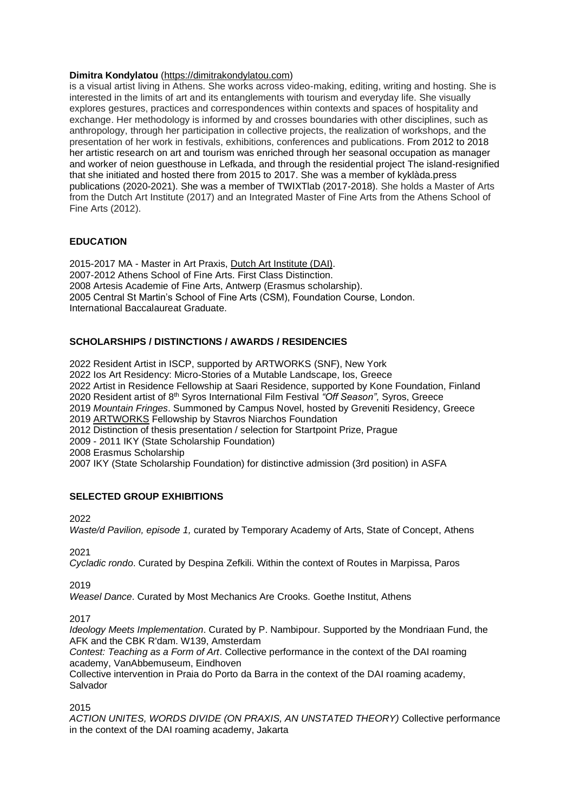## **Dimitra Kondylatou** [\(https://dimitrakondylatou.com\)](https://dimitrakondylatou.com/)

is a visual artist living in Athens. She works across video-making, editing, writing and hosting. She is interested in the limits of art and its entanglements with tourism and everyday life. She visually explores gestures, practices and correspondences within contexts and spaces of hospitality and exchange. Her methodology is informed by and crosses boundaries with other disciplines, such as anthropology, through her participation in collective projects, the realization of workshops, and the presentation of her work in festivals, exhibitions, conferences and publications. From 2012 to 2018 her artistic research on art and tourism was enriched through her seasonal occupation as manager and worker of neion guesthouse in Lefkada, and through the residential project The island-resignified that she initiated and hosted there from 2015 to 2017. She was a member of kyklàda.press publications (2020-2021). She was a member of TWIXTlab (2017-2018). She holds a Master of Arts from the Dutch Art Institute (2017) and an Integrated Master of Fine Arts from the Athens School of Fine Arts (2012).

# **EDUCATION**

2015-2017 MA - Master in Art Praxis, [Dutch Art Institute \(DAI\).](http://dutchartinstitute.eu/) 2007-2012 Athens School of Fine Arts. First Class Distinction. 2008 Artesis Academie of Fine Arts, Antwerp (Erasmus scholarship). 2005 Central St Martin's School of Fine Arts (CSM), Foundation Course, London. International Baccalaureat Graduate.

# **SCHOLARSHIPS / DISTINCTIONS / AWARDS / RESIDENCIES**

2022 Resident Artist in ISCP, supported by ARTWORKS (SNF), New York 2022 Ios Art Residency: Micro-Stories of a Mutable Landscape, Ios, Greece 2022 Artist in Residence Fellowship at Saari Residence, supported by Kone Foundation, Finland 2020 Resident artist of 8th Syros International Film Festival *"Off Season",* Syros, Greece 2019 *Mountain Fringes*. Summoned by Campus Novel, hosted by Greveniti Residency, Greece 2019 [ARTWORKS](https://www.art-works.gr/) Fellowship by Stavros Niarchos Foundation 2012 Distinction of thesis presentation / selection for Startpoint Prize, Prague 2009 - 2011 IKY (State Scholarship Foundation) 2008 Erasmus Scholarship 2007 IKY (State Scholarship Foundation) for distinctive admission (3rd position) in ASFA

## **SELECTED GROUP EXHIBITIONS**

2022

*Waste/d Pavilion, episode 1,* curated by Temporary Academy of Arts, State of Concept, Athens

2021

*Cycladic rondo*. Curated by Despina Zefkili. Within the context of Routes in Marpissa, Paros

2019

*Weasel Dance*. Curated by Most Mechanics Are Crooks. Goethe Institut, Athens

*Ideology Meets Implementation*. Curated by P. Nambipour. Supported by the Mondriaan Fund, the AFK and the CBK R'dam. W139, Amsterdam

*Contest: Teaching as a Form of Art*. Collective performance in the context of the DAI roaming academy, VanAbbemuseum, Eindhoven

Collective intervention in Praia do Porto da Barra in the context of the DAI roaming academy, Salvador

2015

*ACTION UNITES, WORDS DIVIDE (ON PRAXIS, AN UNSTATED THEORY)* Collective performance in the context of the DAI roaming academy, Jakarta

<sup>2017</sup>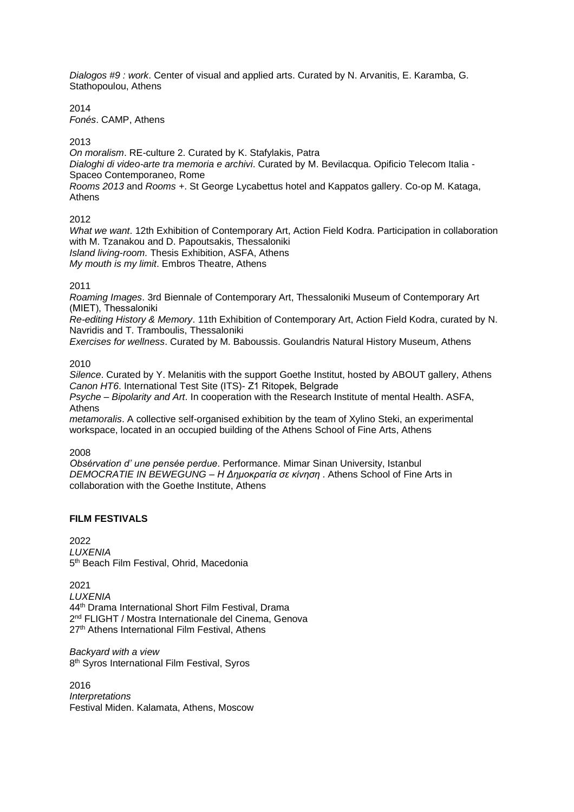*Dialogos #9 : work*. Center of visual and applied arts. Curated by N. Arvanitis, E. Karamba, G. Stathopoulou, Athens

2014 *Fonés*. CAMP, Athens

2013

*On moralism*. RE-culture 2. Curated by K. Stafylakis, Patra *Dialoghi di video-arte tra memoria e archivi*. Curated by M. Bevilacqua. Opificio Telecom Italia - Spaceo Contemporaneo, Rome *Rooms 2013* and *Rooms +*. St George Lycabettus hotel and Kappatos gallery. Co-op M. Kataga, Athens

2012

*What we want*. 12th Exhibition of Contemporary Art, Action Field Kodra. Participation in collaboration with M. Tzanakou and D. Papoutsakis, Thessaloniki *Island living-room.* Thesis Exhibition, ASFA, Athens *My mouth is my limit*. Embros Theatre, Athens

2011

*Roaming Images*. 3rd Biennale of Contemporary Art, Thessaloniki Museum of Contemporary Art (ΜΙΕΤ), Thessaloniki

*Re-editing History & Memory*. 11th Exhibition of Contemporary Art, Action Field Kodra, curated by N. Navridis and T. Tramboulis, Thessaloniki

*Exercises for wellness*. Curated by M. Baboussis. Goulandris Natural History Museum, Athens

2010

*Silence*. Curated by Y. Melanitis with the support Goethe Institut, hosted by ABOUT gallery, Athens *Canon HT6*. International Test Site (ITS)- Z1 Ritopek, Βelgrade

*Psyche – Bipolarity and Art*. In cooperation with the Research Institute of mental Health. ASFA, Athens

*metamoralis*. A collective self-organised exhibition by the team of Xylino Steki, an experimental workspace, located in an occupied building of the Athens School of Fine Arts, Athens

2008

*Obsérvation d' une pensée perdue*. Performance. Mimar Sinan University, Istanbul *DEMOCRATIE IN BEWEGUNG – Η Δημοκρατία σε κίνηση* . Athens School of Fine Arts in collaboration with the Goethe Institute, Athens

## **FILM FESTIVALS**

2022 *LUXENIA* 5<sup>th</sup> Beach Film Festival, Ohrid, Macedonia

2021 *LUXENIA* 44th Drama International Short Film Festival, Drama 2<sup>nd</sup> FLIGHT / Mostra Internationale del Cinema, Genova 27<sup>th</sup> Athens International Film Festival, Athens

*Backyard with a view* 8<sup>th</sup> Syros International Film Festival, Syros

2016 *Interpretations* Festival Miden. Kalamata, Athens, Moscow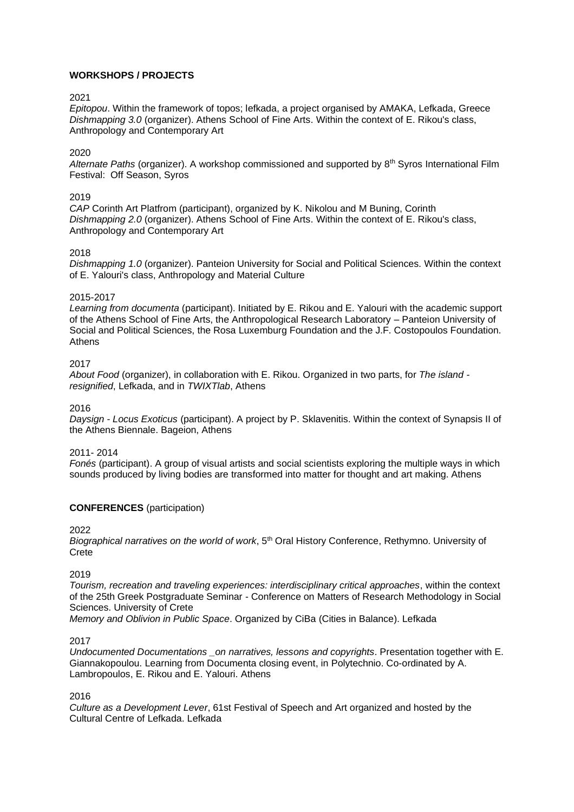# **WORKSHOPS / PROJECTS**

### 2021

*Epitopou*. Within the framework of topos; lefkada, a project organised by AMAKA, Lefkada, Greece *Dishmapping 3.0* (organizer). Athens School of Fine Arts. Within the context of E. Rikou's class, Anthropology and Contemporary Art

## 2020

*Alternate Paths* (organizer). A workshop commissioned and supported by 8th Syros International Film Festival: Off Season, Syros

## 2019

*CAP* Corinth Art Platfrom (participant), organized by K. Nikolou and M Buning, Corinth *Dishmapping 2.0* (organizer). Athens School of Fine Arts. Within the context of E. Rikou's class, Anthropology and Contemporary Art

## 2018

*Dishmapping 1.0* (organizer). Panteion University for Social and Political Sciences. Within the context of E. Yalouri's class, Anthropology and Material Culture

### 2015-2017

*Learning from documenta* (participant). Initiated by E. Rikou and E. Yalouri with the academic support of the Athens School of Fine Arts, the Anthropological Research Laboratory – Panteion University of Social and Political Sciences, the Rosa Luxemburg Foundation and the J.F. Costopoulos Foundation. Athens

## 2017

*About Food* (organizer), in collaboration with E. Rikou. Organized in two parts, for *The island resignified*, Lefkada, and in *TWIXTlab*, Athens

2016

*Daysign - Locus Exoticus* (participant). A project by P. Sklavenitis. Within the context of Synapsis II of the Athens Biennale. Bageion, Athens

### 2011- 2014

*Fonés* (participant). A group of visual artists and social scientists exploring the multiple ways in which sounds produced by living bodies are transformed into matter for thought and art making. Athens

## **CONFERENCES** (participation)

### 2022

*Biographical narratives on the world of work*, 5th Oral History Conference, Rethymno. University of **Crete** 

2019

*Tourism, recreation and traveling experiences: interdisciplinary critical approaches*, within the context of the 25th Greek Postgraduate Seminar - Conference on Matters of Research Methodology in Social Sciences. University of Crete

*Memory and Oblivion in Public Space*. Organized by CiBa (Cities in Balance). Lefkada

### 2017

*Undocumented Documentations \_on narratives, lessons and copyrights*. Presentation together with E. Giannakopoulou. Learning from Documenta closing event, in Polytechnio. Co-ordinated by A. Lambropoulos, E. Rikou and E. Yalouri. Athens

2016

*Culture as a Development Lever*, 61st Festival of Speech and Art organized and hosted by the Cultural Centre of Lefkada. Lefkada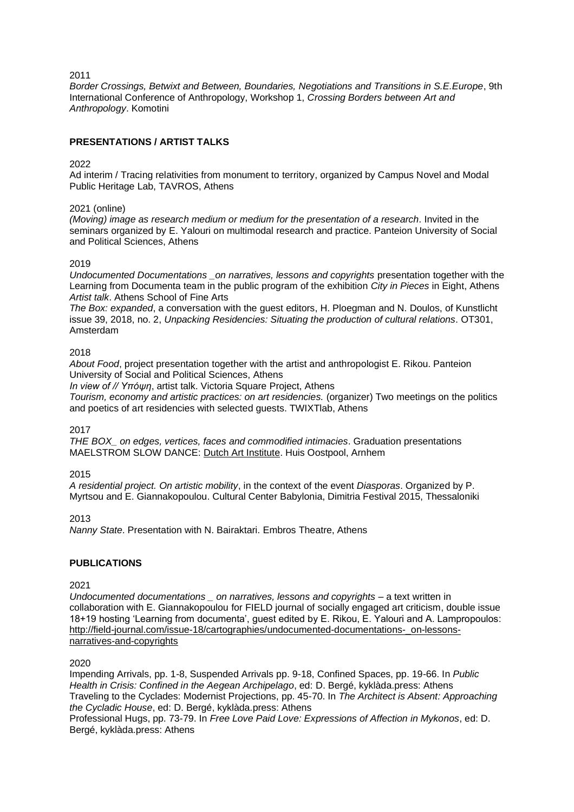2011

*Border Crossings, Betwixt and Between, Boundaries, Negotiations and Transitions in S.E.Europe*, 9th International Conference of Anthropology, Workshop 1, *Crossing Borders between Art and Anthropology*. Komotini

## **PRESENTATIONS / ARTIST TALKS**

## 2022

Ad interim / Tracing relativities from monument to territory, organized by Campus Novel and Modal Public Heritage Lab, TAVROS, Athens

#### 2021 (online)

*(Moving) image as research medium or medium for the presentation of a research*. Invited in the seminars organized by E. Yalouri on multimodal research and practice. Panteion University of Social and Political Sciences, Athens

#### 2019

*Undocumented Documentations \_on narratives, lessons and copyrights* presentation together with the Learning from Documenta team in the public program of the exhibition *City in Pieces* in Eight, Athens *Artist talk*. Athens School of Fine Arts

*The Box: expanded*, a conversation with the guest editors, H. Ploegman and N. Doulos, of Kunstlicht issue 39, 2018, no. 2, *Unpacking Residencies: Situating the production of cultural relations*. OT301, Amsterdam

#### 2018

*About Food*, project presentation together with the artist and anthropologist E. Rikou. Panteion University of Social and Political Sciences, Athens

*In view of // Υπόψη*, artist talk. Victoria Square Project, Athens

*Tourism, economy and artistic practices: on art residencies.* (organizer) Two meetings on the politics and poetics of art residencies with selected guests. TWIXTlab, Athens

2017

*THE BOX\_ on edges, vertices, faces and commodified intimacies*. Graduation presentations MAELSTROM SLOW DANCE: [Dutch Art Institute.](http://dutchartinstitute.eu/) Huis Oostpool, Arnhem

2015

*A residential project. On artistic mobility*, in the context of the event *Diasporas*. Organized by P. Myrtsou and E. Giannakopoulou. Cultural Center Babylonia, Dimitria Festival 2015, Thessaloniki

2013

*Nanny State*. Presentation with N. Bairaktari. Embros Theatre, Athens

### **PUBLICATIONS**

2021

*Undocumented documentations \_ on narratives, lessons and copyrights –* a text written in collaboration with E. Giannakopoulou for FIELD journal of socially engaged art criticism, double issue 18+19 hosting 'Learning from documenta', guest edited by E. Rikou, E. Yalouri and A. Lampropoulos: [http://field-journal.com/issue-18/cartographies/undocumented-documentations-\\_on-lessons](http://field-journal.com/issue-18/cartographies/undocumented-documentations-_on-lessons-narratives-and-copyrights)[narratives-and-copyrights](http://field-journal.com/issue-18/cartographies/undocumented-documentations-_on-lessons-narratives-and-copyrights)

#### 2020

Impending Arrivals, pp. 1-8, Suspended Arrivals pp. 9-18, Confined Spaces, pp. 19-66. In *Public Health in Crisis: Confined in the Aegean Archipelago*, ed: D. Bergé, kyklàda.press: Athens Traveling to the Cyclades: Modernist Projections, pp. 45-70. In *The Architect is Absent: Approaching the Cycladic House*, ed: D. Bergé, kyklàda.press: Athens

Professional Hugs, pp. 73-79. In *Free Love Paid Love: Expressions of Affection in Mykonos*, ed: D. Bergé, kyklàda.press: Athens